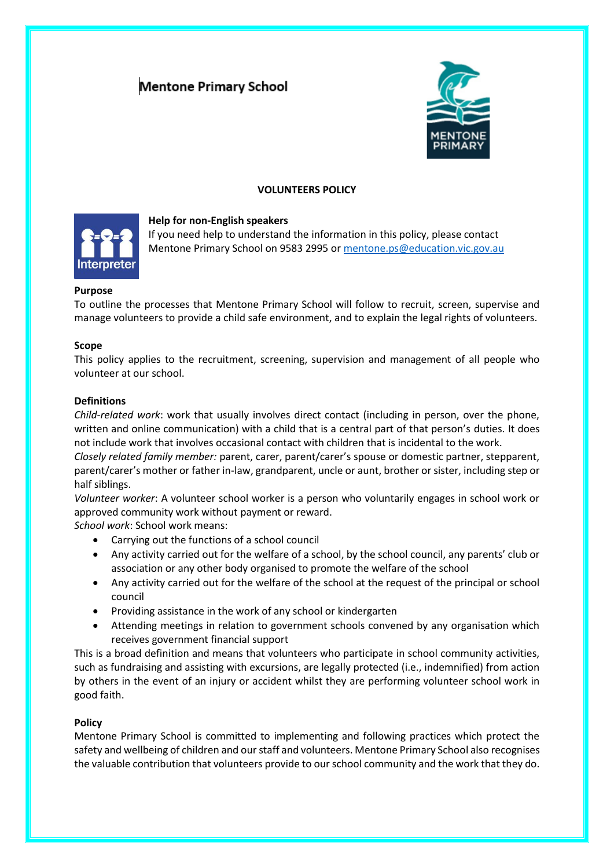# **Mentone Primary School**



# **VOLUNTEERS POLICY**



# **Help for non-English speakers**

If you need help to understand the information in this policy, please contact Mentone Primary School on 9583 2995 or [mentone.ps@education.vic.gov.au](mailto:mentone.ps@education.vic.gov.au)

# **Purpose**

To outline the processes that Mentone Primary School will follow to recruit, screen, supervise and manage volunteers to provide a child safe environment, and to explain the legal rights of volunteers.

### **Scope**

This policy applies to the recruitment, screening, supervision and management of all people who volunteer at our school.

## **Definitions**

*Child-related work*: work that usually involves direct contact (including in person, over the phone, written and online communication) with a child that is a central part of that person's duties. It does not include work that involves occasional contact with children that is incidental to the work.

*Closely related family member:* parent, carer, parent/carer's spouse or domestic partner, stepparent, parent/carer's mother or father in-law, grandparent, uncle or aunt, brother or sister, including step or half siblings.

*Volunteer worker*: A volunteer school worker is a person who voluntarily engages in school work or approved community work without payment or reward.

*School work*: School work means:

- Carrying out the functions of a school council
- Any activity carried out for the welfare of a school, by the school council, any parents' club or association or any other body organised to promote the welfare of the school
- Any activity carried out for the welfare of the school at the request of the principal or school council
- Providing assistance in the work of any school or kindergarten
- Attending meetings in relation to government schools convened by any organisation which receives government financial support

This is a broad definition and means that volunteers who participate in school community activities, such as fundraising and assisting with excursions, are legally protected (i.e., indemnified) from action by others in the event of an injury or accident whilst they are performing volunteer school work in good faith.

### **Policy**

Mentone Primary School is committed to implementing and following practices which protect the safety and wellbeing of children and our staff and volunteers. Mentone Primary School also recognises the valuable contribution that volunteers provide to our school community and the work that they do.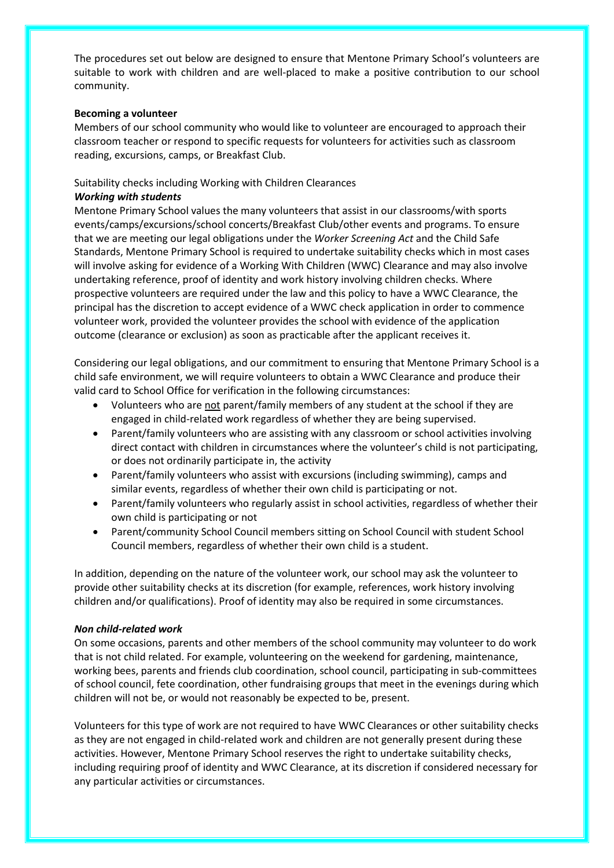The procedures set out below are designed to ensure that Mentone Primary School's volunteers are suitable to work with children and are well-placed to make a positive contribution to our school community.

## **Becoming a volunteer**

Members of our school community who would like to volunteer are encouraged to approach their classroom teacher or respond to specific requests for volunteers for activities such as classroom reading, excursions, camps, or Breakfast Club.

# Suitability checks including Working with Children Clearances

# *Working with students*

Mentone Primary School values the many volunteers that assist in our classrooms/with sports events/camps/excursions/school concerts/Breakfast Club/other events and programs. To ensure that we are meeting our legal obligations under the *Worker Screening Act* and the Child Safe Standards, Mentone Primary School is required to undertake suitability checks which in most cases will involve asking for evidence of a Working With Children (WWC) Clearance and may also involve undertaking reference, proof of identity and work history involving children checks. Where prospective volunteers are required under the law and this policy to have a WWC Clearance, the principal has the discretion to accept evidence of a WWC check application in order to commence volunteer work, provided the volunteer provides the school with evidence of the application outcome (clearance or exclusion) as soon as practicable after the applicant receives it.

Considering our legal obligations, and our commitment to ensuring that Mentone Primary School is a child safe environment, we will require volunteers to obtain a WWC Clearance and produce their valid card to School Office for verification in the following circumstances:

- Volunteers who are not parent/family members of any student at the school if they are engaged in child-related work regardless of whether they are being supervised.
- Parent/family volunteers who are assisting with any classroom or school activities involving direct contact with children in circumstances where the volunteer's child is not participating, or does not ordinarily participate in, the activity
- Parent/family volunteers who assist with excursions (including swimming), camps and similar events, regardless of whether their own child is participating or not.
- Parent/family volunteers who regularly assist in school activities, regardless of whether their own child is participating or not
- Parent/community School Council members sitting on School Council with student School Council members, regardless of whether their own child is a student.

In addition, depending on the nature of the volunteer work, our school may ask the volunteer to provide other suitability checks at its discretion (for example, references, work history involving children and/or qualifications). Proof of identity may also be required in some circumstances.

# *Non child-related work*

On some occasions, parents and other members of the school community may volunteer to do work that is not child related. For example, volunteering on the weekend for gardening, maintenance, working bees, parents and friends club coordination, school council, participating in sub-committees of school council, fete coordination, other fundraising groups that meet in the evenings during which children will not be, or would not reasonably be expected to be, present.

Volunteers for this type of work are not required to have WWC Clearances or other suitability checks as they are not engaged in child-related work and children are not generally present during these activities. However, Mentone Primary School reserves the right to undertake suitability checks, including requiring proof of identity and WWC Clearance, at its discretion if considered necessary for any particular activities or circumstances.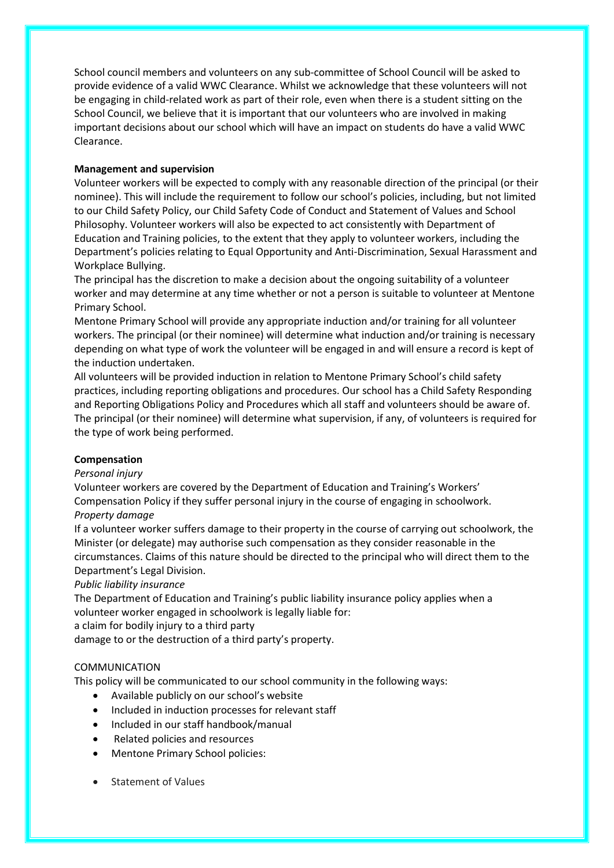School council members and volunteers on any sub-committee of School Council will be asked to provide evidence of a valid WWC Clearance. Whilst we acknowledge that these volunteers will not be engaging in child-related work as part of their role, even when there is a student sitting on the School Council, we believe that it is important that our volunteers who are involved in making important decisions about our school which will have an impact on students do have a valid WWC Clearance.

# **Management and supervision**

Volunteer workers will be expected to comply with any reasonable direction of the principal (or their nominee). This will include the requirement to follow our school's policies, including, but not limited to our Child Safety Policy, our Child Safety Code of Conduct and Statement of Values and School Philosophy. Volunteer workers will also be expected to act consistently with Department of Education and Training policies, to the extent that they apply to volunteer workers, including the Department's policies relating to Equal Opportunity and Anti-Discrimination, Sexual Harassment and Workplace Bullying.

The principal has the discretion to make a decision about the ongoing suitability of a volunteer worker and may determine at any time whether or not a person is suitable to volunteer at Mentone Primary School.

Mentone Primary School will provide any appropriate induction and/or training for all volunteer workers. The principal (or their nominee) will determine what induction and/or training is necessary depending on what type of work the volunteer will be engaged in and will ensure a record is kept of the induction undertaken.

All volunteers will be provided induction in relation to Mentone Primary School's child safety practices, including reporting obligations and procedures. Our school has a Child Safety Responding and Reporting Obligations Policy and Procedures which all staff and volunteers should be aware of. The principal (or their nominee) will determine what supervision, if any, of volunteers is required for the type of work being performed.

# **Compensation**

# *Personal injury*

Volunteer workers are covered by the Department of Education and Training's Workers' Compensation Policy if they suffer personal injury in the course of engaging in schoolwork. *Property damage*

If a volunteer worker suffers damage to their property in the course of carrying out schoolwork, the Minister (or delegate) may authorise such compensation as they consider reasonable in the circumstances. Claims of this nature should be directed to the principal who will direct them to the Department's Legal Division.

# *Public liability insurance*

The Department of Education and Training's public liability insurance policy applies when a volunteer worker engaged in schoolwork is legally liable for:

a claim for bodily injury to a third party

damage to or the destruction of a third party's property.

# COMMUNICATION

This policy will be communicated to our school community in the following ways:

- Available publicly on our school's website
- Included in induction processes for relevant staff
- Included in our staff handbook/manual
- Related policies and resources
- Mentone Primary School policies:
- Statement of Values